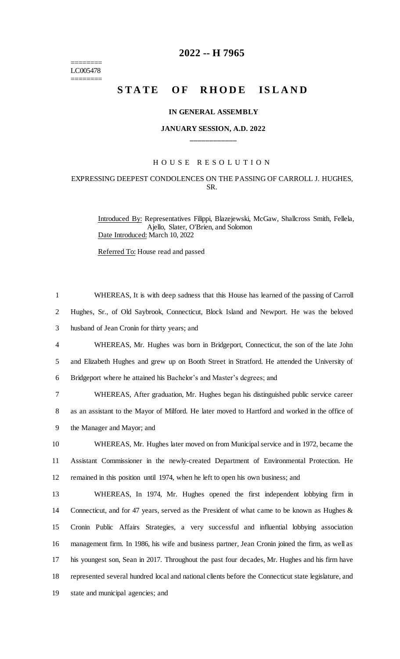======== LC005478 ========

# **2022 -- H 7965**

# **STATE OF RHODE ISLAND**

#### **IN GENERAL ASSEMBLY**

## **JANUARY SESSION, A.D. 2022 \_\_\_\_\_\_\_\_\_\_\_\_**

#### H O U S E R E S O L U T I O N

## EXPRESSING DEEPEST CONDOLENCES ON THE PASSING OF CARROLL J. HUGHES, SR.

Introduced By: Representatives Filippi, Blazejewski, McGaw, Shallcross Smith, Fellela, Ajello, Slater, O'Brien, and Solomon Date Introduced: March 10, 2022

Referred To: House read and passed

 WHEREAS, It is with deep sadness that this House has learned of the passing of Carroll Hughes, Sr., of Old Saybrook, Connecticut, Block Island and Newport. He was the beloved husband of Jean Cronin for thirty years; and WHEREAS, Mr. Hughes was born in Bridgeport, Connecticut, the son of the late John and Elizabeth Hughes and grew up on Booth Street in Stratford. He attended the University of Bridgeport where he attained his Bachelor's and Master's degrees; and WHEREAS, After graduation, Mr. Hughes began his distinguished public service career as an assistant to the Mayor of Milford. He later moved to Hartford and worked in the office of the Manager and Mayor; and WHEREAS, Mr. Hughes later moved on from Municipal service and in 1972, became the Assistant Commissioner in the newly-created Department of Environmental Protection. He remained in this position until 1974, when he left to open his own business; and WHEREAS, In 1974, Mr. Hughes opened the first independent lobbying firm in 14 Connecticut, and for 47 years, served as the President of what came to be known as Hughes & Cronin Public Affairs Strategies, a very successful and influential lobbying association management firm. In 1986, his wife and business partner, Jean Cronin joined the firm, as well as his youngest son, Sean in 2017. Throughout the past four decades, Mr. Hughes and his firm have represented several hundred local and national clients before the Connecticut state legislature, and state and municipal agencies; and